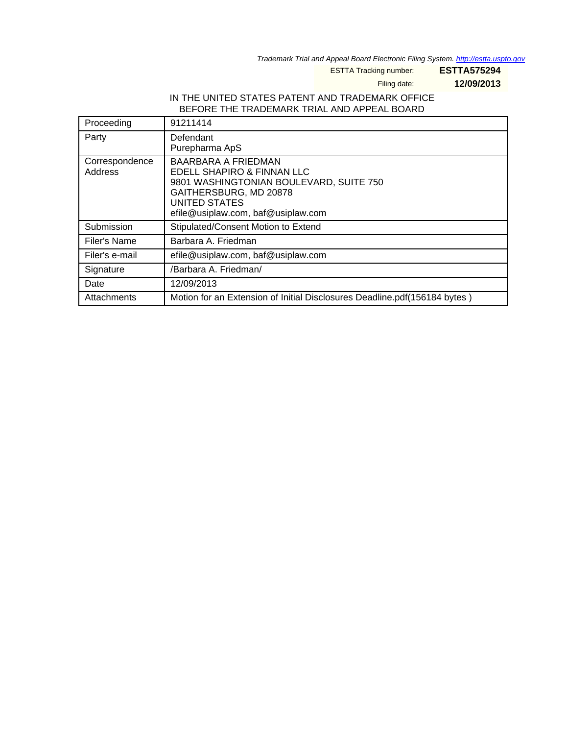Trademark Trial and Appeal Board Electronic Filing System. http://estta.uspto.gov

ESTTA Tracking number: **ESTTA575294**

Filing date: **12/09/2013**

## IN THE UNITED STATES PATENT AND TRADEMARK OFFICE BEFORE THE TRADEMARK TRIAL AND APPEAL BOARD

| Proceeding                | 91211414                                                                                                                                                                                    |
|---------------------------|---------------------------------------------------------------------------------------------------------------------------------------------------------------------------------------------|
| Party                     | Defendant<br>Purepharma ApS                                                                                                                                                                 |
| Correspondence<br>Address | <b>BAARBARA A FRIEDMAN</b><br>EDELL SHAPIRO & FINNAN LLC<br>9801 WASHINGTONIAN BOULEVARD, SUITE 750<br>GAITHERSBURG, MD 20878<br><b>UNITED STATES</b><br>efile@usiplaw.com, baf@usiplaw.com |
| Submission                | Stipulated/Consent Motion to Extend                                                                                                                                                         |
| Filer's Name              | Barbara A. Friedman                                                                                                                                                                         |
| Filer's e-mail            | efile@usiplaw.com, baf@usiplaw.com                                                                                                                                                          |
| Signature                 | /Barbara A. Friedman/                                                                                                                                                                       |
| Date                      | 12/09/2013                                                                                                                                                                                  |
| Attachments               | Motion for an Extension of Initial Disclosures Deadline.pdf(156184 bytes)                                                                                                                   |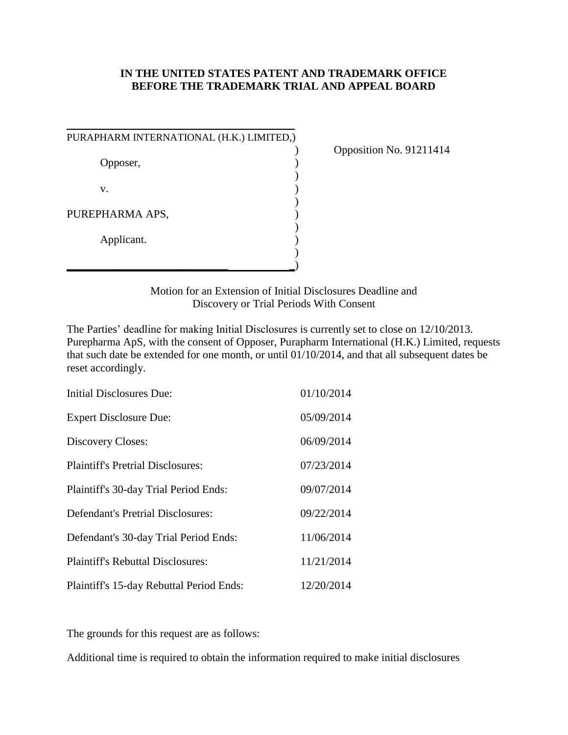## **IN THE UNITED STATES PATENT AND TRADEMARK OFFICE BEFORE THE TRADEMARK TRIAL AND APPEAL BOARD**

| PURAPHARM INTERNATIONAL (H.K.) LIMITED,) |  |
|------------------------------------------|--|
| Opposer,                                 |  |
| V.                                       |  |
| PUREPHARMA APS,                          |  |
| Applicant.                               |  |
|                                          |  |

 $\frac{1}{2}$  ,  $\frac{1}{2}$  ,  $\frac{1}{2}$  ,  $\frac{1}{2}$  ,  $\frac{1}{2}$  ,  $\frac{1}{2}$  ,  $\frac{1}{2}$  ,  $\frac{1}{2}$  ,  $\frac{1}{2}$  ,  $\frac{1}{2}$  ,  $\frac{1}{2}$  ,  $\frac{1}{2}$  ,  $\frac{1}{2}$  ,  $\frac{1}{2}$  ,  $\frac{1}{2}$  ,  $\frac{1}{2}$  ,  $\frac{1}{2}$  ,  $\frac{1}{2}$  ,  $\frac{1$ 

) Opposition No. 91211414

Motion for an Extension of Initial Disclosures Deadline and Discovery or Trial Periods With Consent

The Parties' deadline for making Initial Disclosures is currently set to close on 12/10/2013. Purepharma ApS, with the consent of Opposer, Purapharm International (H.K.) Limited, requests that such date be extended for one month, or until 01/10/2014, and that all subsequent dates be reset accordingly.

| Initial Disclosures Due:                 | 01/10/2014 |
|------------------------------------------|------------|
| <b>Expert Disclosure Due:</b>            | 05/09/2014 |
| Discovery Closes:                        | 06/09/2014 |
| <b>Plaintiff's Pretrial Disclosures:</b> | 07/23/2014 |
| Plaintiff's 30-day Trial Period Ends:    | 09/07/2014 |
| <b>Defendant's Pretrial Disclosures:</b> | 09/22/2014 |
| Defendant's 30-day Trial Period Ends:    | 11/06/2014 |
| <b>Plaintiff's Rebuttal Disclosures:</b> | 11/21/2014 |
| Plaintiff's 15-day Rebuttal Period Ends: | 12/20/2014 |

The grounds for this request are as follows:

Additional time is required to obtain the information required to make initial disclosures